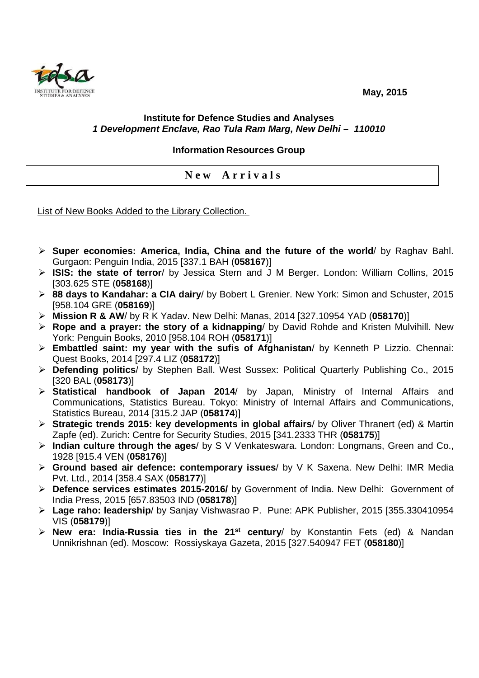**May, 2015** 



## **Institute for Defence Studies and Analyses 1 Development Enclave, Rao Tula Ram Marg, New Delhi – 110010**

## **Information Resources Group**

**N e w A r r i v a l s** 

List of New Books Added to the Library Collection.

- **Super economies: America, India, China and the future of the world**/ by Raghav Bahl. Gurgaon: Penguin India, 2015 [337.1 BAH (**058167**)]
- **ISIS: the state of terror**/ by Jessica Stern and J M Berger. London: William Collins, 2015 [303.625 STE (**058168**)]
- **88 days to Kandahar: a CIA dairy**/ by Bobert L Grenier. New York: Simon and Schuster, 2015 [958.104 GRE (**058169**)]
- **Mission R & AW**/ by R K Yadav. New Delhi: Manas, 2014 [327.10954 YAD (**058170**)]
- **Rope and a prayer: the story of a kidnapping**/ by David Rohde and Kristen Mulvihill. New York: Penguin Books, 2010 [958.104 ROH (**058171**)]
- **Embattled saint: my year with the sufis of Afghanistan**/ by Kenneth P Lizzio. Chennai: Quest Books, 2014 [297.4 LIZ (**058172**)]
- **Defending politics**/ by Stephen Ball. West Sussex: Political Quarterly Publishing Co., 2015 [320 BAL (**058173**)]
- **Statistical handbook of Japan 2014**/ by Japan, Ministry of Internal Affairs and Communications, Statistics Bureau. Tokyo: Ministry of Internal Affairs and Communications, Statistics Bureau, 2014 [315.2 JAP (**058174**)]
- **Strategic trends 2015: key developments in global affairs**/ by Oliver Thranert (ed) & Martin Zapfe (ed). Zurich: Centre for Security Studies, 2015 [341.2333 THR (**058175**)]
- **Indian culture through the ages**/ by S V Venkateswara. London: Longmans, Green and Co., 1928 [915.4 VEN (**058176**)]
- **Ground based air defence: contemporary issues**/ by V K Saxena. New Delhi: IMR Media Pvt. Ltd., 2014 [358.4 SAX (**058177**)]
- **Defence services estimates 2015-2016/** by Government of India. New Delhi: Government of India Press, 2015 [657.83503 IND (**058178**)]
- **Lage raho: leadership**/ by Sanjay Vishwasrao P. Pune: APK Publisher, 2015 [355.330410954 VIS (**058179**)]
- **New era: India-Russia ties in the 21st century**/ by Konstantin Fets (ed) & Nandan Unnikrishnan (ed). Moscow: Rossiyskaya Gazeta, 2015 [327.540947 FET (**058180**)]